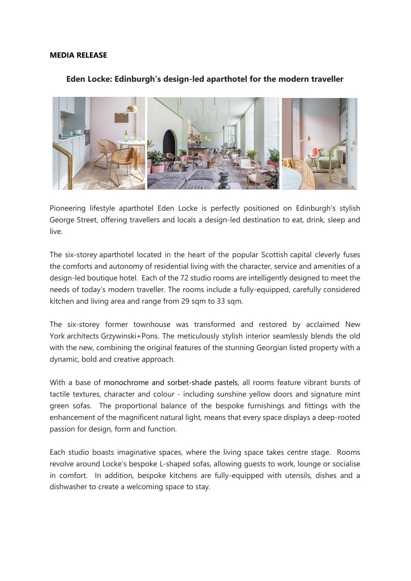#### **MEDIA RELEASE**

### **Eden Locke: Edinburgh's design-led aparthotel for the modern traveller**



Pioneering lifestyle aparthotel Eden Locke is perfectly positioned on Edinburgh's stylish George Street, offering travellers and locals a design-led destination to eat, drink, sleep and live.

The six-storey aparthotel located in the heart of the popular Scottish capital cleverly fuses the comforts and autonomy of residential living with the character, service and amenities of a design-led boutique hotel. Each of the 72 studio rooms are intelligently designed to meet the needs of today's modern traveller. The rooms include a fully-equipped, carefully considered kitchen and living area and range from 29 sqm to 33 sqm.

The six-storey former townhouse was transformed and restored by acclaimed New York architects Grzywinski+Pons. The meticulously stylish interior seamlessly blends the old with the new, combining the original features of the stunning Georgian listed property with a dynamic, bold and creative approach.

With a base of monochrome and sorbet-shade pastels, all rooms feature vibrant bursts of tactile textures, character and colour - including sunshine yellow doors and signature mint green sofas. The proportional balance of the bespoke furnishings and fittings with the enhancement of the magnificent natural light, means that every space displays a deep-rooted passion for design, form and function.

Each studio boasts imaginative spaces, where the living space takes centre stage. Rooms revolve around Locke's bespoke L-shaped sofas, allowing guests to work, lounge or socialise in comfort. In addition, bespoke kitchens are fully-equipped with utensils, dishes and a dishwasher to create a welcoming space to stay.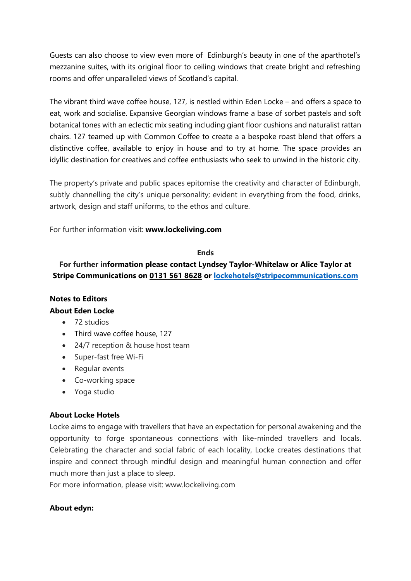Guests can also choose to view even more of Edinburgh's beauty in one of the aparthotel's mezzanine suites, with its original floor to ceiling windows that create bright and refreshing rooms and offer unparalleled views of Scotland's capital.

The vibrant third wave coffee house, 127, is nestled within Eden Locke – and offers a space to eat, work and socialise. Expansive Georgian windows frame a base of sorbet pastels and soft botanical tones with an eclectic mix seating including giant floor cushions and naturalist rattan chairs. 127 teamed up with Common Coffee to create a a bespoke roast blend that offers a distinctive coffee, available to enjoy in house and to try at home. The space provides an idyllic destination for creatives and coffee enthusiasts who seek to unwind in the historic city.

The property's private and public spaces epitomise the creativity and character of Edinburgh, subtly channelling the city's unique personality; evident in everything from the food, drinks, artwork, design and staff uniforms, to the ethos and culture.

For further information visit: **[www.lockeliving.com](http://www.lockeliving.com/)**

### **Ends**

# **For further information please contact Lyndsey Taylor-Whitelaw or Alice Taylor at Stripe Communications on [0131 561 8628](mailto:0131%20561%208628) or [lockehotels@stripecommunications.com](mailto:lockehotels@stripecommunications.com)**

# **Notes to Editors About Eden Locke**

- 72 studios
- Third wave coffee house, 127
- 24/7 reception & house host team
- Super-fast free Wi-Fi
- Regular events
- Co-working space
- Yoga studio

## **About Locke Hotels**

Locke aims to engage with travellers that have an expectation for personal awakening and the opportunity to forge spontaneous connections with like-minded travellers and locals. Celebrating the character and social fabric of each locality, Locke creates destinations that inspire and connect through mindful design and meaningful human connection and offer much more than just a place to sleep.

For more information, please visit: [www.lockeliving.com](http://www.lockeliving.com/)

## **About edyn:**